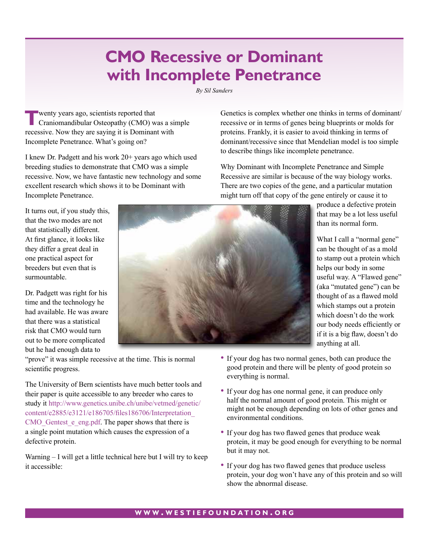## **CMO Recessive or Dominant with Incomplete Penetrance**

*By Sil Sanders*

**T**wenty years ago, scientists reported that<br>
Craniomandibular Osteopathy (CMO) was a simple recessive. Now they are saying it is Dominant with Incomplete Penetrance. What's going on?

I knew Dr. Padgett and his work 20+ years ago which used breeding studies to demonstrate that CMO was a simple recessive. Now, we have fantastic new technology and some excellent research which shows it to be Dominant with Incomplete Penetrance.

It turns out, if you study this, that the two modes are not that statistically different. At first glance, it looks like they differ a great deal in one practical aspect for breeders but even that is surmountable.

Dr. Padgett was right for his time and the technology he had available. He was aware that there was a statistical risk that CMO would turn out to be more complicated but he had enough data to



"prove" it was simple recessive at the time. This is normal scientific progress.

The University of Bern scientists have much better tools and their paper is quite accessible to any breeder who cares to study it [http://www.genetics.unibe.ch/unibe/vetmed/genetic/](http://www.genetics.unibe.ch/unibe/vetmed/genetic/content/e2885/e3121/e186705/files186706/Interpretation_CMO_Gentest_e_eng.pdf) [content/e2885/e3121/e186705/files186706/Interpretation\\_](http://www.genetics.unibe.ch/unibe/vetmed/genetic/content/e2885/e3121/e186705/files186706/Interpretation_CMO_Gentest_e_eng.pdf) CMO Gentest e eng.pdf. The paper shows that there is a single point mutation which causes the expression of a defective protein.

Warning – I will get a little technical here but I will try to keep it accessible:

- If your dog has two normal genes, both can produce the good protein and there will be plenty of good protein so everything is normal.
- If your dog has one normal gene, it can produce only half the normal amount of good protein. This might or might not be enough depending on lots of other genes and environmental conditions.
- If your dog has two flawed genes that produce weak protein, it may be good enough for everything to be normal but it may not.
- If your dog has two flawed genes that produce useless protein, your dog won't have any of this protein and so will show the abnormal disease.

Genetics is complex whether one thinks in terms of dominant/ recessive or in terms of genes being blueprints or molds for proteins. Frankly, it is easier to avoid thinking in terms of dominant/recessive since that Mendelian model is too simple to describe things like incomplete penetrance.

Why Dominant with Incomplete Penetrance and Simple Recessive are similar is because of the way biology works. There are two copies of the gene, and a particular mutation might turn off that copy of the gene entirely or cause it to

> produce a defective protein that may be a lot less useful than its normal form.

What I call a "normal gene" can be thought of as a mold to stamp out a protein which helps our body in some useful way. A "Flawed gene" (aka "mutated gene") can be thought of as a flawed mold which stamps out a protein which doesn't do the work our body needs efficiently or if it is a big flaw, doesn't do anything at all.